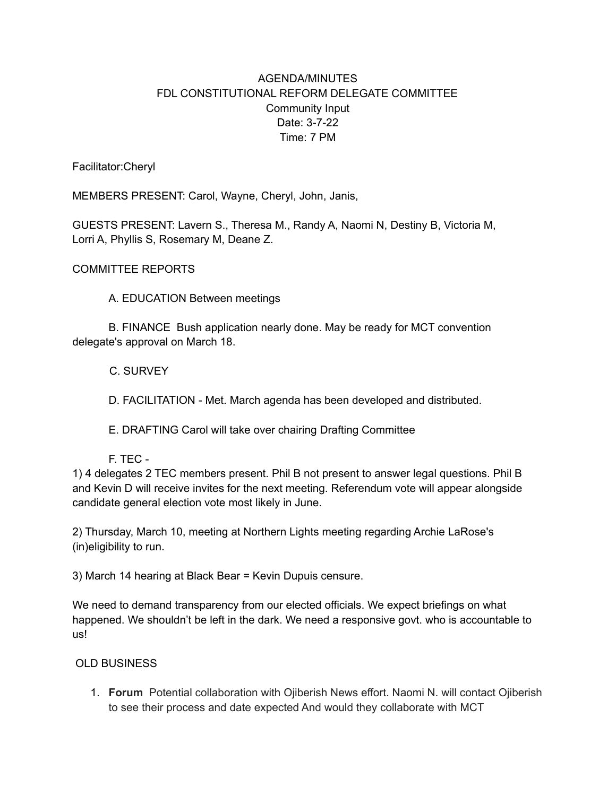## AGENDA/MINUTES FDL CONSTITUTIONAL REFORM DELEGATE COMMITTEE Community Input Date: 3-7-22 Time: 7 PM

Facilitator:Cheryl

MEMBERS PRESENT: Carol, Wayne, Cheryl, John, Janis,

GUESTS PRESENT: Lavern S., Theresa M., Randy A, Naomi N, Destiny B, Victoria M, Lorri A, Phyllis S, Rosemary M, Deane Z.

COMMITTEE REPORTS

A. EDUCATION Between meetings

B. FINANCE Bush application nearly done. May be ready for MCT convention delegate's approval on March 18.

C. SURVEY

D. FACILITATION - Met. March agenda has been developed and distributed.

E. DRAFTING Carol will take over chairing Drafting Committee

F. TEC -

1) 4 delegates 2 TEC members present. Phil B not present to answer legal questions. Phil B and Kevin D will receive invites for the next meeting. Referendum vote will appear alongside candidate general election vote most likely in June.

2) Thursday, March 10, meeting at Northern Lights meeting regarding Archie LaRose's (in)eligibility to run.

3) March 14 hearing at Black Bear = Kevin Dupuis censure.

We need to demand transparency from our elected officials. We expect briefings on what happened. We shouldn't be left in the dark. We need a responsive govt. who is accountable to us!

## OLD BUSINESS

1. **Forum** Potential collaboration with Ojiberish News effort. Naomi N. will contact Ojiberish to see their process and date expected And would they collaborate with MCT